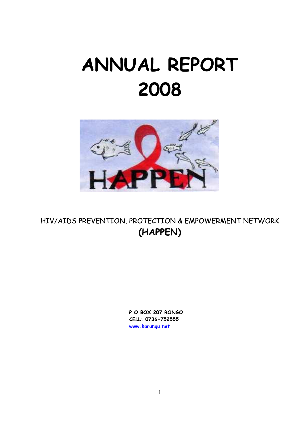# ANNUAL REPORT 2008



HIV/AIDS PREVENTION, PROTECTION & EMPOWERMENT NETWORK (HAPPEN)

> P.O.BOX 207 RONGO CELL: 0736-752555 www.karungu.net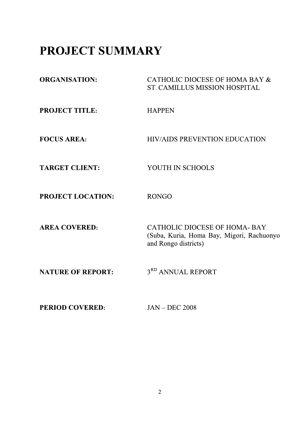## PROJECT SUMMARY

| <b>ORGANISATION:</b>     | CATHOLIC DIOCESE OF HOMA BAY &<br><b>ST. CAMILLUS MISSION HOSPITAL</b>                                   |
|--------------------------|----------------------------------------------------------------------------------------------------------|
| <b>PROJECT TITLE:</b>    | <b>HAPPEN</b>                                                                                            |
| <b>FOCUS AREA:</b>       | <b>HIV/AIDS PREVENTION EDUCATION</b>                                                                     |
| <b>TARGET CLIENT:</b>    | YOUTH IN SCHOOLS                                                                                         |
| PROJECT LOCATION:        | <b>RONGO</b>                                                                                             |
| <b>AREA COVERED:</b>     | <b>CATHOLIC DIOCESE OF HOMA-BAY</b><br>(Suba, Kuria, Homa Bay, Migori, Rachuonyo<br>and Rongo districts) |
| <b>NATURE OF REPORT:</b> | 3 <sup>RD</sup> ANNUAL REPORT                                                                            |
| <b>PERIOD COVERED:</b>   | $JAN - DEC 2008$                                                                                         |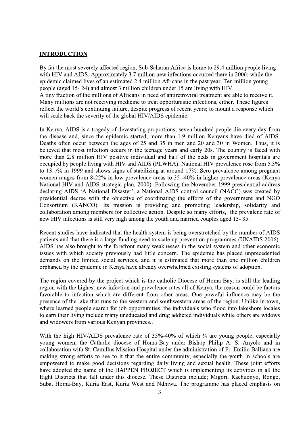#### **INTRODUCTION**

By far the most severely affected region, Sub-Saharan Africa is home to 29.4 million people living with HIV and AIDS. Approximately 3.7 million new infections occurred there in 2006; while the epidemic claimed lives of an estimated 2.4 million Africans in the past year. Ten million young people (aged 15-24) and almost 3 million children under 15 are living with HIV. A tiny fraction of the millions of Africans in need of antiretroviral treatment are able to receive it. Many millions are not receiving medicine to treat opportunistic infections, either. These figures reflect the world's continuing failure, despite progress of recent years; to mount a response which will scale back the severity of the global HIV/AIDS epidemic.

In Kenya, AIDS is a tragedy of devastating proportions, seven hundred people die every day from the disease and, since the epidemic started, more than 1.9 million Kenyans have died of AIDS. Deaths often occur between the ages of 25 and 35 in men and 20 and 30 in Women. Thus, it is believed that most infection occurs in the teenage years and early 20s. The country is faced with more than 2.8 million HIV positive individual and half of the beds in government hospitals are occupied by people living with HIV and AIDS (PLWHA). National HIV prevalence rose from 5.3% to 13. /% in 1999 and shows signs of stabilizing at around 17%. Sero prevalence among pregnant women ranges from 8-22% in low prevalence areas to 35 -40% in higher prevalence areas (Kenya National HIV and AIDS strategic plan, 2000). Following the November 1999 presidential address declaring AIDS 'A National Disaster', a National AIDS control council (NACC) was created by presidential decree with the objective of coordinating the efforts of the government and NGO Consortium (KANCO). Its mission is providing and promoting leadership, solidarity and collaboration among members for collective action. Despite so many efforts, the prevalenc rate of new HIV infections is still very high among the youth and married couples aged 15-35.

Recent studies have indicated that the health system is being overstretched by the number of AIDS patients and that there is a large funding need to scale up prevention programmes (UNAIDS 2006). AIDS has also brought to the forefront many weaknesses in the social system and other economic issues with which society previously had little concern. The epidemic has placed unprecedented demands on the limited social services, and it is estimated that more than one million children orphaned by the epidemic in Kenya have already overwhelmed existing systems of adoption.

The region covered by the project which is the catholic Diocese of Homa-Bay, is still the leading region with the highest new infection and prevalence rates all of Kenya, the reason could be factors favorable to infection which are different from other areas. One poweful influence may be the presence of the lake that runs to the western and southwestern areas of the region. Unlike in town, where learned people search for job opportunities, the individuals who flood into lakeshore locales to earn their living include many uneducated and drug addicted individuals while others are widows and widowers from various Kenyan provinces...

With the high HIV/AIDS prevalence rate of 35%-40% of which  $\frac{3}{4}$  are young people, especially young women, the Catholic diocese of Homa-Bay under Bishop Philip A. S. Anyolo and in collaboration with St. Camillus Mission Hospital under the administration of Fr. Emilio Balliana are making strong efforts to see to it that the entire community, especially the youth in schools are empowered to make good decisions regarding daily living and sexual health. These joint efforts have adopted the name of the HAPPEN PROJECT which is implementing its activities in all the Eight Districts that fall under this diocese. These Districts include; Migori, Rachuonyo, Rongo, Suba, Homa-Bay, Kuria East, Kuria West and Ndhiwa. The programme has placed emphasis on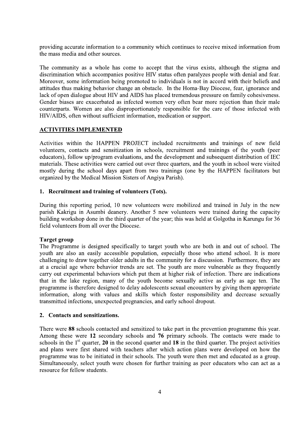providing accurate information to a community which continues to receive mixed information from the mass media and other sources.

The community as a whole has come to accept that the virus exists, although the stigma and discrimination which accompanies positive HIV status often paralyzes people with denial and fear. Moreover, some information being promoted to individuals is not in accord with their beliefs and attitudes thus making behavior change an obstacle. In the Homa-Bay Diocese, fear, ignorance and lack of open dialogue about HIV and AIDS has placed tremendous pressure on family cohesiveness. Gender biases are exacerbated as infected women very often bear more rejection than their male counterparts. Women are also disproportionately responsible for the care of those infected with HIV/AIDS, often without sufficient information, medication or support.

#### **ACTIVITIES IMPLEMENTED**

Activities within the HAPPEN PROJECT included recruitments and trainings of new field volunteers, contacts and sensitization in schools, recruitment and trainings of the youth (peer educators), follow up/program evaluations, and the development and subsequent distribution of IEC materials. These activities were carried out over three quarters, and the youth in school were visited mostly during the school days apart from two trainings (one by the HAPPEN facilitators but organized by the Medical Mission Sisters of Angiya Parish).

#### 1. Recruitment and training of volunteers (Tots).

During this reporting period, 10 new volunteers were mobilized and trained in July in the new parish Kakrigu in Asumbi deanery. Another 5 new volunteers were trained during the capacity building workshop done in the third quarter of the year; this was held at Golgotha in Karungu for 36 field volunteers from all over the Diocese.

#### **Target group**

The Programme is designed specifically to target youth who are both in and out of school. The youth are also an easily accessible population, especially those who attend school. It is more challenging to draw together older adults in the community for a discussion. Furthermore, they are at a crucial age where behavior trends are set. The youth are more vulnerable as they frequently carry out experimental behaviors which put them at higher risk of infection. There are indications that in the lake region, many of the youth become sexually active as early as age ten. The programme is therefore designed to delay adolescents sexual encounters by giving them appropriate information, along with values and skills which foster responsibility and decrease sexually transmitted infections, unexpected pregnancies, and early school dropout.

#### 2. Contacts and sensitizations.

There were 88 schools contacted and sensitized to take part in the prevention programme this year. Among these were 12 secondary schools and 76 primary schools. The contacts were made to schools in the  $1<sup>st</sup>$  quarter, 20 in the second quarter and 18 in the third quarter. The project activities and plans were first shared with teachers after which action plans were developed on how the programme was to be initiated in their schools. The youth were then met and educated as a group. Simultaneously, select youth were chosen for further training as peer educators who can act as a resource for fellow students.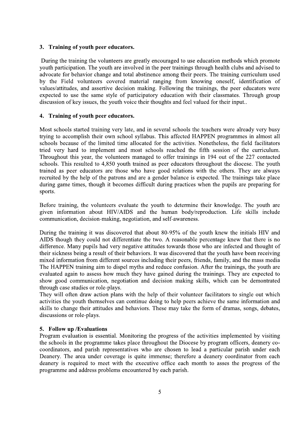#### 3. Training of youth peer educators.

During the training the volunteers are greatly encouraged to use education methods which promote youth participation. The youth are involved in the peer trainings through health clubs and advised to advocate for behavior change and total abstinence among their peers. The training curriculum used by the Field volunteers covered material ranging from knowing oneself, identification of values/attitudes, and assertive decision making. Following the trainings, the peer educators were expected to use the same style of participatory education with their classmates. Through group discussion of key issues, the youth voice their thoughts and feel valued for their input...

#### 4. Training of youth peer educators.

Most schools started training very late, and in several schools the teachers were already very busy trying to accomplish their own school syllabus. This affected HAPPEN programmes in almost all schools because of the limited time allocated for the activities. Nonetheless, the field facilitators tried very hard to implement and most schools reached the fifth session of the curriculum. Throughout this year, the volunteers managed to offer trainings in 194 out of the 227 contacted schools. This resulted to 4,850 youth trained as peer educators throughout the diocese. The youth trained as peer educators are those who have good relations with the others. They are always recruited by the help of the patrons and are a gender balance is expected. The trainings take place during game times, though it becomes difficult during practices when the pupils are preparing for sports.

Before training, the volunteers evaluate the youth to determine their knowledge. The youth are given information about HIV/AIDS and the human body/reproduction. Life skills include communication, decision-making, negotiation, and self-awareness.

During the training it was discovered that about 80-95% of the youth knew the initials HIV and AIDS though they could not differentiate the two. A reasonable percentage knew that there is no difference. Many pupils had very negative attitudes towards those who are infected and thought of their sickness being a result of their behaviors. It was discovered that the youth have been receiving mixed information from different sources including their peers, friends, family, and the mass media The HAPPEN training aim to dispel myths and reduce confusion. After the trainings, the youth are evaluated again to assess how much they have gained during the trainings. They are expected to show good communication, negotiation and decision making skills, which can be demontrated through case studies or role-plays.

They will often draw action plans with the help of their volunteer facilitators to single out which activities the youth themselves can continue doing to help peers achieve the same information and skills to change their attitudes and behaviors. These may take the form of dramas, songs, debates, discussions or role-plays.

#### 5. Follow up / Evaluations

Program evaluation is essential. Monitoring the progress of the activities implemented by visiting the schools in the programme takes place throughout the Diocese by program officers, deanery cocoordinators, and parish representatives who are chosen to lead a particular parish under each Deanery. The area under coverage is quite immense; therefore a deanery coordinator from each deanery is required to meet with the executive office each month to asses the progress of the programme and address problems encountered by each parish.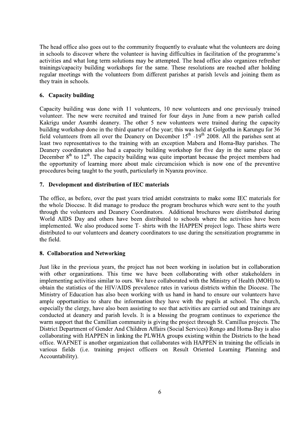The head office also goes out to the community frequently to evaluate what the volunteers are doing in schools to discover where the volunteer is having difficulties in facilitation of the programme's activities and what long term solutions may be attempted. The head office also organizes refresher trainings/capacity building workshops for the same. These resolutions are reached after holding regular meetings with the volunteers from different parishes at parish levels and joining them as they train in schools.

#### 6. Capacity building

Capacity building was done with 11 volunteers, 10 new volunteers and one previously trained volunteer. The new were recruited and trained for four days in June from a new parish called Kakrigu under Asumbi deanery. The other 5 new volunteers were trained during the capacity building workshop done in the third quarter of the year; this was held at Golgotha in Karungu for 36 field volunteers from all over the Deanery on December 15<sup>th</sup> -19<sup>th</sup> 2008. All the parishes sent at least two representatives to the training with an exception Mabera and Homa-Bay parishes. The Deanery coordinators also had a capacity building workshop for five day in the same place on December  $8<sup>th</sup>$  to  $12<sup>th</sup>$ . The capacity building was quite important because the project members had the opportunity of learning more about male circumcision which is now one of the preventive procedures being taught to the youth, particularly in Nyanza province.

#### 7. Development and distribution of IEC materials

The office, as before, over the past years tried amidst constraints to make some IEC materials for the whole Diocese. It did manage to produce the program brochures which were sent to the youth through the volunteers and Deanery Coordinators. Additional brochures were distributed during World AIDS Day and others have been distributed to schools where the activities have been implemented. We also produced some T- shirts with the HAPPEN project logo. These shirts were distributed to our volunteers and deanery coordinators to use during the sensitization programme in the field.

#### 8. Collaboration and Networking

Just like in the previous years, the project has not been working in isolation but in collaboration with other organizations. This time we have been collaborating with other stakeholders in implementing activities similar to ours. We have collaborated with the Ministry of Health (MOH) to obtain the statistics of the HIV/AIDS prevalence rates in various districts within the Diocese. The Ministry of Education has also been working with us hand in hand to ensure our volunteers have ample opportunities to share the information they have with the pupils at school. The church, especially the clergy, have also been assisting to see that activities are carried out and trainings are conducted at deanery and parish levels. It is a blessing the program continues to experience the warm support that the Camillian community is giving the project through St. Camillus projects. The District Department of Gender And Children Affairs (Social Services) Rongo and Homa-Bay is also collaborating with HAPPEN in linking the PLWHA groups existing within the Districts to the head office. WAFNET is another organization that collaborates with HAPPEN in training the officials in various fields (i.e. training project officers on Result Oriented Learning Planning and Accountability).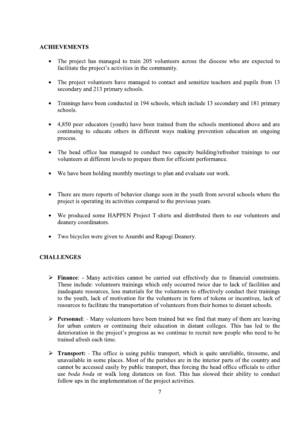#### **ACHIEVEMENTS**

- The project has managed to train 205 volunteers across the diocese who are expected to  $\bullet$ facilitate the project's activities in the community.
- The project volunteers have managed to contact and sensitize teachers and pupils from 13 secondary and 213 primary schools.
- Trainings have been conducted in 194 schools, which include 13 secondary and 181 primary schools.
- 4,850 peer educators (youth) have been trained from the schools mentioned above and are continuing to educate others in different ways making prevention education an ongoing process.
- The head office has managed to conduct two capacity building/refresher trainings to our volunteers at different levels to prepare them for efficient performance.
- We have been holding monthly meetings to plan and evaluate our work.
- There are more reports of behavior change seen in the youth from several schools where the project is operating its activities compared to the previous years.
- We produced some HAPPEN Project T-shirts and distributed them to our volunteers and deanery coordinators.
- Two bicycles were given to Asumbi and Rapogi Deanery.

#### **CHALLENGES**

- > Finance: Many activities cannot be carried out effectively due to financial constraints. These include: volunteers trainings which only occurred twice due to lack of facilities and inadequate resources, less materials for the volunteers to effectively conduct their trainings to the youth, lack of motivation for the volunteers in form of tokens or incentives, lack of resources to facilitate the transportation of volunteers from their homes to distant schools.
- **Example F** Personnel: Many volunteers have been trained but we find that many of them are leaving for urban centers or continuing their education in distant colleges. This has led to the deterioration in the project's progress as we continue to recruit new people who need to be trained afresh each time.
- **Fransport:** The office is using public transport, which is quite unreliable, tiresome, and unavailable in some places. Most of the parishes are in the interior parts of the country and cannot be accessed easily by public transport, thus forcing the head office officials to either use *boda boda* or walk long distances on foot. This has slowed their ability to conduct follow ups in the implementation of the project activities.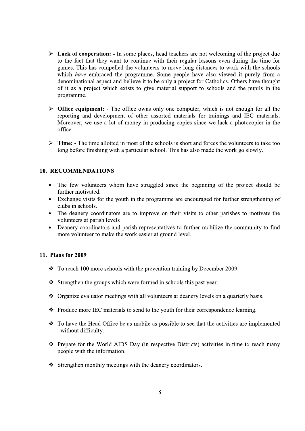- $\triangleright$  Lack of cooperation: In some places, head teachers are not welcoming of the project due to the fact that they want to continue with their regular lessons even during the time for games. This has compelled the volunteers to move long distances to work with the schools which *have* embraced the programme. Some people have also viewed it purely from a denominational aspect and believe it to be only a project for Catholics. Others have thought of it as a project which exists to give material support to schools and the pupils in the programme.
- $\triangleright$  Office equipment: The office owns only one computer, which is not enough for all the reporting and development of other assorted materials for trainings and IEC materials. Moreover, we use a lot of money in producing copies since we lack a photocopier in the office.
- $\triangleright$  Time: The time allotted in most of the schools is short and forces the volunteers to take too long before finishing with a particular school. This has also made the work go slowly.

#### **10. RECOMMENDATIONS**

- The few volunteers whom have struggled since the beginning of the project should be further motivated.
- Exchange visits for the youth in the programme are encouraged for further strengthening of clubs in schools.
- $\bullet$ The deanery coordinators are to improve on their visits to other parishes to motivate the volunteers at parish levels
- Deanery coordinators and parish representatives to further mobilize the community to find  $\bullet$ more volunteer to make the work easier at ground level.

#### 11. Plans for 2009

- $\div$  To reach 100 more schools with the prevention training by December 2009.
- Strengthen the groups which were formed in schools this past year.
- ❖ Organize evaluator meetings with all volunteers at deanery levels on a quarterly basis.
- $\bullet$  Produce more IEC materials to send to the youth for their correspondence learning.
- ❖ To have the Head Office be as mobile as possible to see that the activities are implemented without difficulty.
- ❖ Prepare for the World AIDS Day (in respective Districts) activities in time to reach many people with the information.
- Strengthen monthly meetings with the deanery coordinators.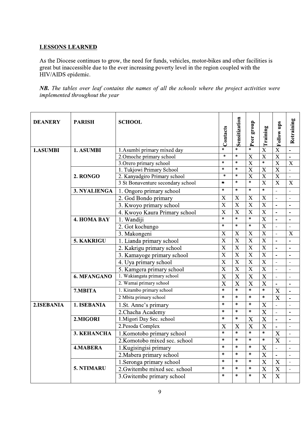### <u>LESSONS LEARNED</u>

| HIV/AIDS epidemic. |                                 | As the Diocese continues to grow, the need for funds, vehicles, motor-bikes and other facilities is<br>great but inaccessible due to the ever increasing poverty level in the region coupled with the |                           |                                     |                                     |                           |                                          |                          |
|--------------------|---------------------------------|-------------------------------------------------------------------------------------------------------------------------------------------------------------------------------------------------------|---------------------------|-------------------------------------|-------------------------------------|---------------------------|------------------------------------------|--------------------------|
|                    | implemented throughout the year | <b>NB.</b> The tables over leaf contains the names of all the schools where the project activities were                                                                                               |                           |                                     |                                     |                           |                                          |                          |
| <b>DEANERY</b>     | <b>PARISH</b>                   | <b>SCHOOL</b>                                                                                                                                                                                         | Contacts                  | Sensitization                       | Peer group                          | Training                  | Follow ups                               | Retraining               |
| 1.ASUMBI           | 1. ASUMBI                       | 1. Asumbi primary mixed day                                                                                                                                                                           | $\star$                   | $\star$                             | $\ast$                              | $\bf{X}$                  | X                                        |                          |
|                    |                                 | 2. Omoche primary school                                                                                                                                                                              | $\ast$                    | $\ast$                              | $\boldsymbol{\mathrm{X}}$           | $\overline{\mathbf{X}}$   | $\overline{X}$                           | $\overline{a}$           |
|                    |                                 | 3. Orero primary school                                                                                                                                                                               | $\star$                   | $\ast$                              | $\overline{X}$                      | $\ast$                    | $\overline{X}$                           | $\overline{X}$           |
|                    |                                 | 1. Tukjowi Primary School                                                                                                                                                                             | $\ast$                    | $\ast$                              | $\overline{X}$                      | $\overline{\mathbf{X}}$   | $\overline{\mathbf{X}}$                  | $\overline{\phantom{a}}$ |
|                    | 2. RONGO                        | 2. Kanyadgiro Primary school                                                                                                                                                                          | $\ast$                    | $\star$                             | $\boldsymbol{\mathrm{X}}$           | $\overline{X}$            | $\overline{\mathbf{X}}$                  |                          |
|                    |                                 | 3 St Bonaventure secondary school                                                                                                                                                                     | $\star$                   | $\ast$                              | $\ast$                              | $\overline{\text{X}}$     | $\overline{X}$                           | $\mathbf X$              |
|                    | 3. NYALIENGA                    | 1. Ongoro primary school                                                                                                                                                                              | $\ast$                    | $\ast$                              | $\ast$                              | $\ast$                    | $\sim$                                   | $\overline{a}$           |
|                    |                                 | 2. God Bondo primary                                                                                                                                                                                  | $\mathbf X$               | $\boldsymbol{\mathrm{X}}$           | $\mathbf X$                         | $\boldsymbol{\mathrm{X}}$ | $\mathbf{r}$                             | $\overline{a}$           |
|                    |                                 | 3. Kwoyo primary school                                                                                                                                                                               | $\mathbf X$               | $\mathbf X$                         | X                                   | $\mathbf X$               | $\overline{\phantom{a}}$                 | $\overline{\phantom{a}}$ |
|                    |                                 | 4. Kwoyo Kaura Primary school                                                                                                                                                                         | $\mathbf X$               | $\mathbf X$                         | $\mathbf X$                         | $\mathbf X$               | $\Delta$                                 | $\overline{\phantom{a}}$ |
|                    | <b>4. HOMA BAY</b>              | 1. Wandiji                                                                                                                                                                                            | $\ast$                    | $\star$                             | $\ast$                              | $\mathbf X$               | $\mathbf{r}$                             | $\blacksquare$           |
|                    |                                 | 2. Got kochungo                                                                                                                                                                                       | $\ast$                    | $\ast$                              | $\star$                             | $\overline{\mathrm{X}}$   | $\sim$                                   | $\blacksquare$           |
|                    |                                 | 3. Makongeni                                                                                                                                                                                          | $\mathbf X$               | $\mathbf X$                         | $\boldsymbol{\mathrm{X}}$           | $\mathbf X$               | $\blacksquare$                           | $\mathbf X$              |
|                    | 5. KAKRIGU                      | 1. Lianda primary school                                                                                                                                                                              | $\boldsymbol{\mathrm{X}}$ | $\mathbf X$                         | $\boldsymbol{\mathrm{X}}$           | $\mathbf X$               | $\mathbf{r}$                             |                          |
|                    |                                 | 2. Kakrigu primary school                                                                                                                                                                             | $\overline{\text{X}}$     | $\overline{\mathbf{X}}$             | $\overline{X}$                      | $\overline{X}$            |                                          | $\overline{\phantom{a}}$ |
|                    |                                 | 3. Kamayoge primary school                                                                                                                                                                            | $\overline{X}$            | $\mathbf X$                         | $\mathbf X$                         | $\boldsymbol{\mathrm{X}}$ | $\overline{a}$                           | $\overline{\phantom{a}}$ |
|                    |                                 | 4. Uya primary school                                                                                                                                                                                 | $\overline{X}$            | $\overline{\mathbf{X}}$             | $\overline{\mathbf{X}}$             | $\overline{\mathbf{X}}$   | $\mathcal{L}^{\mathcal{A}}$              |                          |
|                    |                                 | 5. Kamgera primary school                                                                                                                                                                             | $\mathbf X$               | $\mathbf X$                         | $\mathbf X$                         | $\mathbf X$               | $\overline{\phantom{a}}$                 |                          |
|                    | 6. MFANGANO                     | 1. Wakiangata primary school                                                                                                                                                                          | $\mathbf X$               | $\mathbf X$                         | $\mathbf X$                         | $\boldsymbol{\mathrm{X}}$ | $\blacksquare$                           |                          |
|                    |                                 | 2. Wamai primary school                                                                                                                                                                               | $\mathbf X$<br>$\ast$     | $\boldsymbol{\mathrm{X}}$<br>$\ast$ | $\boldsymbol{\mathrm{X}}$<br>$\ast$ | $\overline{X}$<br>$\star$ | $\blacksquare$                           | $\blacksquare$           |
|                    | 7.MBITA                         | 1. Kirambo primary school                                                                                                                                                                             | $\ast$                    | $\ast$                              | $\ast$                              | $\ast$                    | $\boldsymbol{\mathrm{X}}$                |                          |
|                    |                                 | 2 Mbita primary school                                                                                                                                                                                | $\ast$                    | $\ast$                              | $\ast$                              |                           | $\overline{\mathbf{X}}$                  | $\overline{a}$           |
|                    | 1. ISEBANIA                     | 1.St. Anne's primary                                                                                                                                                                                  | $\ast$                    | $\ast$                              | $\ast$                              | $\boldsymbol{\mathrm{X}}$ | $\blacksquare$                           | $\overline{\phantom{a}}$ |
| 2.ISEBANIA         |                                 | 2. Chacha Academy                                                                                                                                                                                     |                           | $\ast$                              | X                                   | $\boldsymbol{\mathrm{X}}$ |                                          |                          |
|                    |                                 |                                                                                                                                                                                                       |                           |                                     |                                     | $\mathbf X$               | $\blacksquare$                           |                          |
|                    | 2.MIGORI                        | 1. Migori Day Sec. school                                                                                                                                                                             | $\ast$                    |                                     |                                     |                           |                                          |                          |
|                    |                                 | 2.Pesoda Complex                                                                                                                                                                                      | $\boldsymbol{\mathrm{X}}$ | $\mathbf X$                         | $\boldsymbol{\mathrm{X}}$           | X                         | $\blacksquare$                           | $\overline{\phantom{a}}$ |
|                    | 3. KEHANCHA                     | 1. Komotobo primary school                                                                                                                                                                            | $\ast$                    | $\ast$                              | $\ast$                              | $\ast$                    | $\overline{X}$                           |                          |
|                    |                                 | 2. Komotobo mixed sec. school                                                                                                                                                                         | $\ast$                    | $\ast$                              | $\ast$                              | $\ast$                    | $\overline{\mathbf{X}}$                  |                          |
|                    | <b>4.MABERA</b>                 | 1. Kugisingisi primary                                                                                                                                                                                | $\ast$                    | $\ast$                              | $\ast$                              | $\mathbf X$               | $\blacksquare$                           |                          |
|                    |                                 | 2. Mabera primary school                                                                                                                                                                              | $\ast$                    | $\ast$                              | $\ast$                              | $\mathbf X$               | $\blacksquare$                           |                          |
|                    |                                 | 1. Seronga primary school                                                                                                                                                                             | $\ast$                    | $\ast$                              | $\ast$                              | X                         | $\boldsymbol{\mathrm{X}}$                |                          |
|                    | 5. NTIMARU                      | 2. Gwitembe mixed sec. school<br>3. Gwitembe primary school                                                                                                                                           | $\ast$<br>$\ast$          | $\ast$<br>$\ast$                    | $\ast$<br>$\ast$                    | X<br>$\mathbf X$          | $\boldsymbol{\mathrm{X}}$<br>$\mathbf X$ |                          |